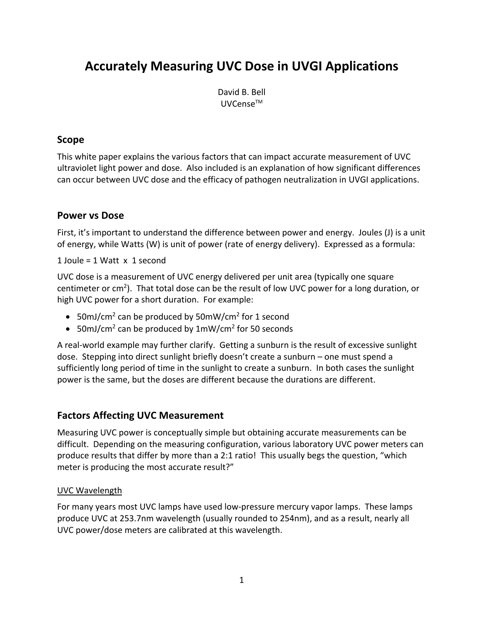# **Accurately Measuring UVC Dose in UVGI Applications**

David B. Bell UVCenseTM

### **Scope**

This white paper explains the various factors that can impact accurate measurement of UVC ultraviolet light power and dose. Also included is an explanation of how significant differences can occur between UVC dose and the efficacy of pathogen neutralization in UVGI applications.

### **Power vs Dose**

First, it's important to understand the difference between power and energy. Joules (J) is a unit of energy, while Watts (W) is unit of power (rate of energy delivery). Expressed as a formula:

1 Joule = 1 Watt x 1 second

UVC dose is a measurement of UVC energy delivered per unit area (typically one square centimeter or cm<sup>2</sup>). That total dose can be the result of low UVC power for a long duration, or high UVC power for a short duration. For example:

- 50mJ/cm<sup>2</sup> can be produced by 50mW/cm<sup>2</sup> for 1 second
- 50mJ/cm<sup>2</sup> can be produced by  $1mW/cm^2$  for 50 seconds

A real-world example may further clarify. Getting a sunburn is the result of excessive sunlight dose. Stepping into direct sunlight briefly doesn't create a sunburn – one must spend a sufficiently long period of time in the sunlight to create a sunburn. In both cases the sunlight power is the same, but the doses are different because the durations are different.

### **Factors Affecting UVC Measurement**

Measuring UVC power is conceptually simple but obtaining accurate measurements can be difficult. Depending on the measuring configuration, various laboratory UVC power meters can produce results that differ by more than a 2:1 ratio! This usually begs the question, "which meter is producing the most accurate result?"

### UVC Wavelength

For many years most UVC lamps have used low-pressure mercury vapor lamps. These lamps produce UVC at 253.7nm wavelength (usually rounded to 254nm), and as a result, nearly all UVC power/dose meters are calibrated at this wavelength.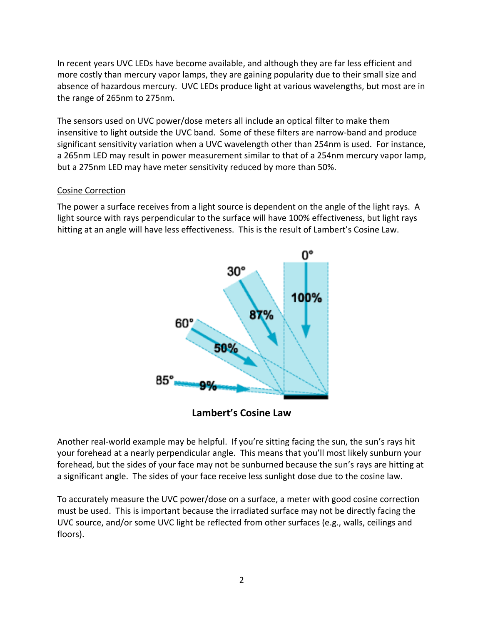In recent years UVC LEDs have become available, and although they are far less efficient and more costly than mercury vapor lamps, they are gaining popularity due to their small size and absence of hazardous mercury. UVC LEDs produce light at various wavelengths, but most are in the range of 265nm to 275nm.

The sensors used on UVC power/dose meters all include an optical filter to make them insensitive to light outside the UVC band. Some of these filters are narrow-band and produce significant sensitivity variation when a UVC wavelength other than 254nm is used. For instance, a 265nm LED may result in power measurement similar to that of a 254nm mercury vapor lamp, but a 275nm LED may have meter sensitivity reduced by more than 50%.

#### Cosine Correction

The power a surface receives from a light source is dependent on the angle of the light rays. A light source with rays perpendicular to the surface will have 100% effectiveness, but light rays hitting at an angle will have less effectiveness. This is the result of Lambert's Cosine Law.



**Lambert's Cosine Law**

Another real-world example may be helpful. If you're sitting facing the sun, the sun's rays hit your forehead at a nearly perpendicular angle. This means that you'll most likely sunburn your forehead, but the sides of your face may not be sunburned because the sun's rays are hitting at a significant angle. The sides of your face receive less sunlight dose due to the cosine law.

To accurately measure the UVC power/dose on a surface, a meter with good cosine correction must be used. This is important because the irradiated surface may not be directly facing the UVC source, and/or some UVC light be reflected from other surfaces (e.g., walls, ceilings and floors).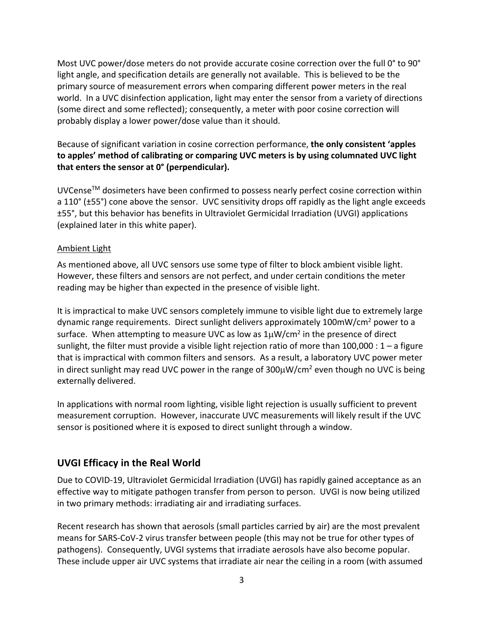Most UVC power/dose meters do not provide accurate cosine correction over the full 0° to 90° light angle, and specification details are generally not available. This is believed to be the primary source of measurement errors when comparing different power meters in the real world. In a UVC disinfection application, light may enter the sensor from a variety of directions (some direct and some reflected); consequently, a meter with poor cosine correction will probably display a lower power/dose value than it should.

### Because of significant variation in cosine correction performance, **the only consistent 'apples to apples' method of calibrating or comparing UVC meters is by using columnated UVC light that enters the sensor at 0° (perpendicular).**

UVCenseTM dosimeters have been confirmed to possess nearly perfect cosine correction within a 110° (±55°) cone above the sensor. UVC sensitivity drops off rapidly as the light angle exceeds ±55°, but this behavior has benefits in Ultraviolet Germicidal Irradiation (UVGI) applications (explained later in this white paper).

### Ambient Light

As mentioned above, all UVC sensors use some type of filter to block ambient visible light. However, these filters and sensors are not perfect, and under certain conditions the meter reading may be higher than expected in the presence of visible light.

It is impractical to make UVC sensors completely immune to visible light due to extremely large dynamic range requirements. Direct sunlight delivers approximately 100mW/cm2 power to a surface. When attempting to measure UVC as low as  $1\mu$ W/cm<sup>2</sup> in the presence of direct sunlight, the filter must provide a visible light rejection ratio of more than 100,000 :  $1 - a$  figure that is impractical with common filters and sensors. As a result, a laboratory UVC power meter in direct sunlight may read UVC power in the range of  $300\mu W/cm^2$  even though no UVC is being externally delivered.

In applications with normal room lighting, visible light rejection is usually sufficient to prevent measurement corruption. However, inaccurate UVC measurements will likely result if the UVC sensor is positioned where it is exposed to direct sunlight through a window.

### **UVGI Efficacy in the Real World**

Due to COVID-19, Ultraviolet Germicidal Irradiation (UVGI) has rapidly gained acceptance as an effective way to mitigate pathogen transfer from person to person. UVGI is now being utilized in two primary methods: irradiating air and irradiating surfaces.

Recent research has shown that aerosols (small particles carried by air) are the most prevalent means for SARS-CoV-2 virus transfer between people (this may not be true for other types of pathogens). Consequently, UVGI systems that irradiate aerosols have also become popular. These include upper air UVC systems that irradiate air near the ceiling in a room (with assumed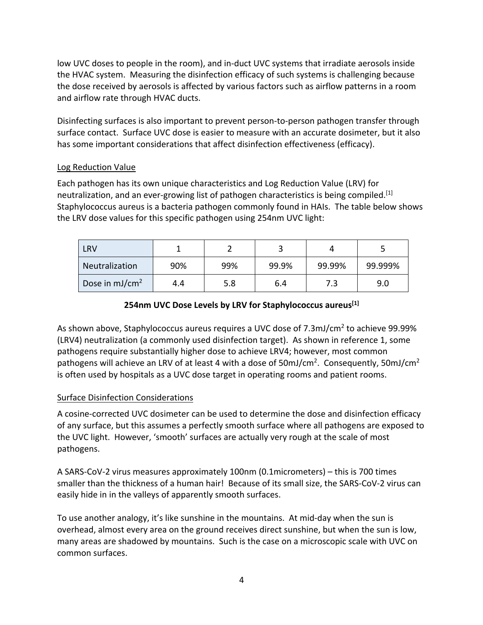low UVC doses to people in the room), and in-duct UVC systems that irradiate aerosols inside the HVAC system. Measuring the disinfection efficacy of such systems is challenging because the dose received by aerosols is affected by various factors such as airflow patterns in a room and airflow rate through HVAC ducts.

Disinfecting surfaces is also important to prevent person-to-person pathogen transfer through surface contact. Surface UVC dose is easier to measure with an accurate dosimeter, but it also has some important considerations that affect disinfection effectiveness (efficacy).

#### Log Reduction Value

Each pathogen has its own unique characteristics and Log Reduction Value (LRV) for neutralization, and an ever-growing list of pathogen characteristics is being compiled.<sup>[1]</sup> Staphylococcus aureus is a bacteria pathogen commonly found in HAIs. The table below shows the LRV dose values for this specific pathogen using 254nm UVC light:

| LRV                        |     |     |       |        |         |
|----------------------------|-----|-----|-------|--------|---------|
| Neutralization             | 90% | 99% | 99.9% | 99.99% | 99.999% |
| Dose in mJ/cm <sup>2</sup> | 4.4 | 5.8 | 6.4   |        | 9.0     |

### **254nm UVC Dose Levels by LRV for Staphylococcus aureus[1]**

As shown above, Staphylococcus aureus requires a UVC dose of 7.3mJ/cm<sup>2</sup> to achieve 99.99% (LRV4) neutralization (a commonly used disinfection target). As shown in reference 1, some pathogens require substantially higher dose to achieve LRV4; however, most common pathogens will achieve an LRV of at least 4 with a dose of 50mJ/cm<sup>2</sup>. Consequently, 50mJ/cm<sup>2</sup> is often used by hospitals as a UVC dose target in operating rooms and patient rooms.

#### Surface Disinfection Considerations

A cosine-corrected UVC dosimeter can be used to determine the dose and disinfection efficacy of any surface, but this assumes a perfectly smooth surface where all pathogens are exposed to the UVC light. However, 'smooth' surfaces are actually very rough at the scale of most pathogens.

A SARS-CoV-2 virus measures approximately 100nm (0.1micrometers) – this is 700 times smaller than the thickness of a human hair! Because of its small size, the SARS-CoV-2 virus can easily hide in in the valleys of apparently smooth surfaces.

To use another analogy, it's like sunshine in the mountains. At mid-day when the sun is overhead, almost every area on the ground receives direct sunshine, but when the sun is low, many areas are shadowed by mountains. Such is the case on a microscopic scale with UVC on common surfaces.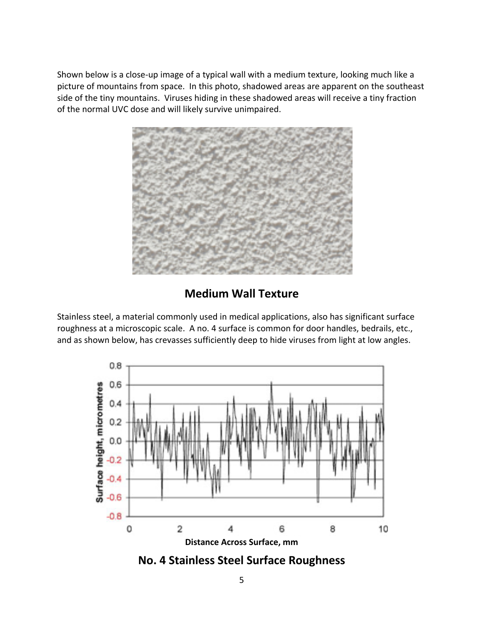Shown below is a close-up image of a typical wall with a medium texture, looking much like a picture of mountains from space. In this photo, shadowed areas are apparent on the southeast side of the tiny mountains. Viruses hiding in these shadowed areas will receive a tiny fraction of the normal UVC dose and will likely survive unimpaired.



## **Medium Wall Texture**

Stainless steel, a material commonly used in medical applications, also has significant surface roughness at a microscopic scale. A no. 4 surface is common for door handles, bedrails, etc., and as shown below, has crevasses sufficiently deep to hide viruses from light at low angles.



**No. 4 Stainless Steel Surface Roughness**